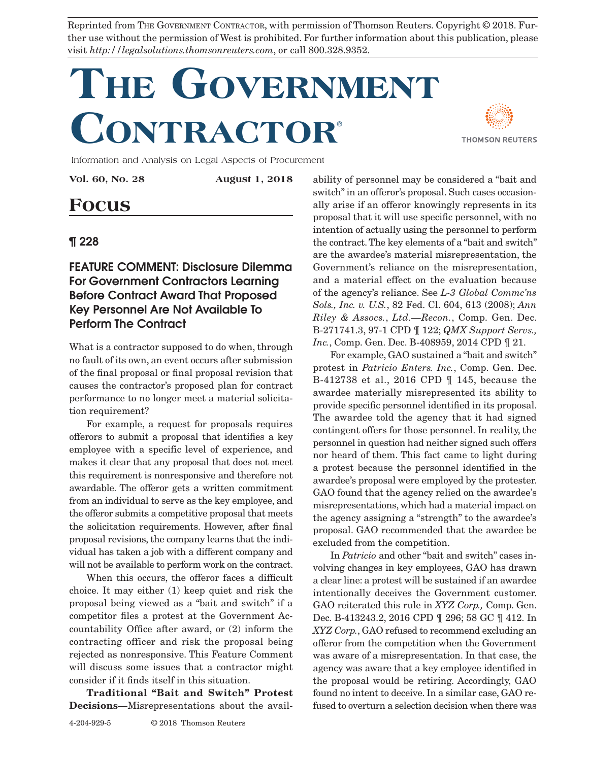Reprinted from THE GOVERNMENT CONTRACTOR, with permission of Thomson Reuters. Copyright © 2018. Further use without the permission of West is prohibited. For further information about this publication, please visit *http://legalsolutions.thomsonreuters.com*, or call 800.328.9352.

## **The Government Contractor**®



Information and Analysis on Legal Aspects of Procurement

**Vol. 60, No. 28 August 1, 2018**

## **Focus**

## ¶ 228

FEATURE COMMENT: Disclosure Dilemma For Government Contractors Learning Before Contract Award That Proposed Key Personnel Are Not Available To Perform The Contract

What is a contractor supposed to do when, through no fault of its own, an event occurs after submission of the final proposal or final proposal revision that causes the contractor's proposed plan for contract performance to no longer meet a material solicitation requirement?

For example, a request for proposals requires offerors to submit a proposal that identifies a key employee with a specific level of experience, and makes it clear that any proposal that does not meet this requirement is nonresponsive and therefore not awardable. The offeror gets a written commitment from an individual to serve as the key employee, and the offeror submits a competitive proposal that meets the solicitation requirements. However, after final proposal revisions, the company learns that the individual has taken a job with a different company and will not be available to perform work on the contract.

When this occurs, the offeror faces a difficult choice. It may either (1) keep quiet and risk the proposal being viewed as a "bait and switch" if a competitor files a protest at the Government Accountability Office after award, or (2) inform the contracting officer and risk the proposal being rejected as nonresponsive. This Feature Comment will discuss some issues that a contractor might consider if it finds itself in this situation.

**Traditional "Bait and Switch" Protest Decisions**—Misrepresentations about the avail-

ability of personnel may be considered a "bait and switch" in an offeror's proposal. Such cases occasionally arise if an offeror knowingly represents in its proposal that it will use specific personnel, with no intention of actually using the personnel to perform the contract. The key elements of a "bait and switch" are the awardee's material misrepresentation, the Government's reliance on the misrepresentation, and a material effect on the evaluation because of the agency's reliance. See *L-3 Global Commc'ns Sols., Inc. v. U.S.*, 82 Fed. Cl. 604, 613 (2008); *Ann Riley & Assocs.*, *Ltd.—Recon.*, Comp. Gen. Dec. B-271741.3, 97-1 CPD ¶ 122; *QMX Support Servs., Inc.*, Comp. Gen. Dec. B-408959, 2014 CPD  $\P$  21.

For example, GAO sustained a "bait and switch" protest in *Patricio Enters. Inc.*, Comp. Gen. Dec. B-412738 et al., 2016 CPD ¶ 145, because the awardee materially misrepresented its ability to provide specific personnel identified in its proposal. The awardee told the agency that it had signed contingent offers for those personnel. In reality, the personnel in question had neither signed such offers nor heard of them. This fact came to light during a protest because the personnel identified in the awardee's proposal were employed by the protester. GAO found that the agency relied on the awardee's misrepresentations, which had a material impact on the agency assigning a "strength" to the awardee's proposal. GAO recommended that the awardee be excluded from the competition.

In *Patricio* and other "bait and switch" cases involving changes in key employees, GAO has drawn a clear line: a protest will be sustained if an awardee intentionally deceives the Government customer. GAO reiterated this rule in *XYZ Corp.,* Comp. Gen. Dec. B-413243.2, 2016 CPD ¶ 296; 58 GC ¶ 412. In *XYZ Corp.*, GAO refused to recommend excluding an offeror from the competition when the Government was aware of a misrepresentation. In that case, the agency was aware that a key employee identified in the proposal would be retiring. Accordingly, GAO found no intent to deceive. In a similar case, GAO refused to overturn a selection decision when there was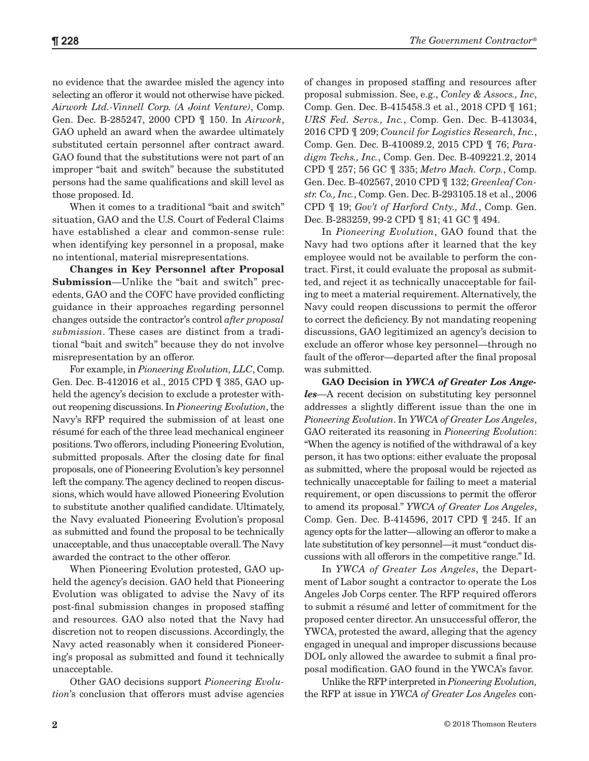no evidence that the awardee misled the agency into selecting an offeror it would not otherwise have picked. *Airwork Ltd.-Vinnell Corp. (A Joint Venture)*, Comp. Gen. Dec. B-285247, 2000 CPD ¶ 150. In *Airwork*, GAO upheld an award when the awardee ultimately substituted certain personnel after contract award. GAO found that the substitutions were not part of an improper "bait and switch" because the substituted persons had the same qualifications and skill level as those proposed. Id.

When it comes to a traditional "bait and switch" situation, GAO and the U.S. Court of Federal Claims have established a clear and common-sense rule: when identifying key personnel in a proposal, make no intentional, material misrepresentations.

**Changes in Key Personnel after Proposal Submission**—Unlike the "bait and switch" precedents, GAO and the COFC have provided conflicting guidance in their approaches regarding personnel changes outside the contractor's control *after proposal submission*. These cases are distinct from a traditional "bait and switch" because they do not involve misrepresentation by an offeror.

For example, in *Pioneering Evolution, LLC*, Comp. Gen. Dec. B-412016 et al., 2015 CPD ¶ 385, GAO upheld the agency's decision to exclude a protester without reopening discussions. In *Pioneering Evolution*, the Navy's RFP required the submission of at least one résumé for each of the three lead mechanical engineer positions. Two offerors, including Pioneering Evolution, submitted proposals. After the closing date for final proposals, one of Pioneering Evolution's key personnel left the company. The agency declined to reopen discussions, which would have allowed Pioneering Evolution to substitute another qualified candidate. Ultimately, the Navy evaluated Pioneering Evolution's proposal as submitted and found the proposal to be technically unacceptable, and thus unacceptable overall. The Navy awarded the contract to the other offeror.

When Pioneering Evolution protested, GAO upheld the agency's decision. GAO held that Pioneering Evolution was obligated to advise the Navy of its post-final submission changes in proposed staffing and resources. GAO also noted that the Navy had discretion not to reopen discussions. Accordingly, the Navy acted reasonably when it considered Pioneering's proposal as submitted and found it technically unacceptable.

Other GAO decisions support *Pioneering Evolution*'s conclusion that offerors must advise agencies of changes in proposed staffing and resources after proposal submission. See, e.g., *Conley & Assocs., Inc*, Comp. Gen. Dec. B-415458.3 et al., 2018 CPD ¶ 161; *URS Fed. Servs., Inc.*, Comp. Gen. Dec. B-413034, 2016 CPD ¶ 209; *Council for Logistics Research, Inc.*, Comp. Gen. Dec. B-410089.2, 2015 CPD ¶ 76; *Paradigm Techs., Inc.*, Comp. Gen. Dec. B-409221.2, 2014 CPD ¶ 257; 56 GC ¶ 335; *Metro Mach. Corp.*, Comp. Gen. Dec. B-402567, 2010 CPD ¶ 132; *Greenleaf Constr. Co., Inc.*, Comp. Gen. Dec. B-293105.18 et al., 2006 CPD ¶ 19; *Gov't of Harford Cnty., Md.*, Comp. Gen. Dec. B-283259, 99-2 CPD ¶ 81; 41 GC ¶ 494.

In *Pioneering Evolution*, GAO found that the Navy had two options after it learned that the key employee would not be available to perform the contract. First, it could evaluate the proposal as submitted, and reject it as technically unacceptable for failing to meet a material requirement. Alternatively, the Navy could reopen discussions to permit the offeror to correct the deficiency. By not mandating reopening discussions, GAO legitimized an agency's decision to exclude an offeror whose key personnel—through no fault of the offeror—departed after the final proposal was submitted.

**GAO Decision in** *YWCA of Greater Los Angeles*—A recent decision on substituting key personnel addresses a slightly different issue than the one in *Pioneering Evolution*. In *YWCA of Greater Los Angeles*, GAO reiterated its reasoning in *Pioneering Evolution*: "When the agency is notified of the withdrawal of a key person, it has two options: either evaluate the proposal as submitted, where the proposal would be rejected as technically unacceptable for failing to meet a material requirement, or open discussions to permit the offeror to amend its proposal." *YWCA of Greater Los Angeles*, Comp. Gen. Dec. B-414596, 2017 CPD ¶ 245. If an agency opts for the latter—allowing an offeror to make a late substitution of key personnel—it must "conduct discussions with all offerors in the competitive range." Id.

In *YWCA of Greater Los Angeles*, the Department of Labor sought a contractor to operate the Los Angeles Job Corps center. The RFP required offerors to submit a résumé and letter of commitment for the proposed center director. An unsuccessful offeror, the YWCA, protested the award, alleging that the agency engaged in unequal and improper discussions because DOL only allowed the awardee to submit a final proposal modification. GAO found in the YWCA's favor.

Unlike the RFP interpreted in *Pioneering Evolution,*  the RFP at issue in *YWCA of Greater Los Angeles* con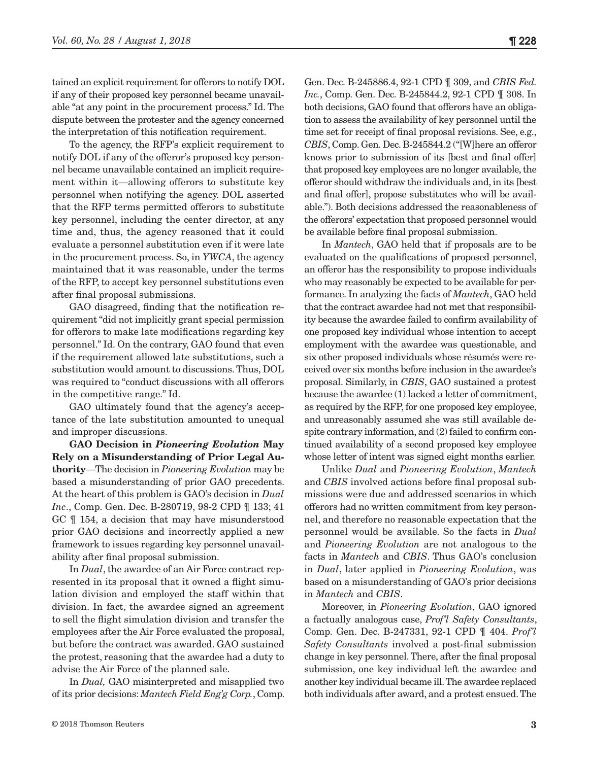tained an explicit requirement for offerors to notify DOL if any of their proposed key personnel became unavailable "at any point in the procurement process." Id. The dispute between the protester and the agency concerned the interpretation of this notification requirement.

To the agency, the RFP's explicit requirement to notify DOL if any of the offeror's proposed key personnel became unavailable contained an implicit requirement within it—allowing offerors to substitute key personnel when notifying the agency. DOL asserted that the RFP terms permitted offerors to substitute key personnel, including the center director, at any time and, thus, the agency reasoned that it could evaluate a personnel substitution even if it were late in the procurement process. So, in *YWCA*, the agency maintained that it was reasonable, under the terms of the RFP, to accept key personnel substitutions even after final proposal submissions.

GAO disagreed, finding that the notification requirement "did not implicitly grant special permission for offerors to make late modifications regarding key personnel." Id. On the contrary, GAO found that even if the requirement allowed late substitutions, such a substitution would amount to discussions. Thus, DOL was required to "conduct discussions with all offerors in the competitive range." Id.

GAO ultimately found that the agency's acceptance of the late substitution amounted to unequal and improper discussions.

**GAO Decision in** *Pioneering Evolution* **May Rely on a Misunderstanding of Prior Legal Authority**—The decision in *Pioneering Evolution* may be based a misunderstanding of prior GAO precedents. At the heart of this problem is GAO's decision in *Dual Inc.*, Comp. Gen. Dec. B-280719, 98-2 CPD  $\P$  133; 41 GC ¶ 154, a decision that may have misunderstood prior GAO decisions and incorrectly applied a new framework to issues regarding key personnel unavailability after final proposal submission.

In *Dual*, the awardee of an Air Force contract represented in its proposal that it owned a flight simulation division and employed the staff within that division. In fact, the awardee signed an agreement to sell the flight simulation division and transfer the employees after the Air Force evaluated the proposal, but before the contract was awarded. GAO sustained the protest, reasoning that the awardee had a duty to advise the Air Force of the planned sale.

In *Dual,* GAO misinterpreted and misapplied two of its prior decisions: *Mantech Field Eng'g Corp.*, Comp.

Gen. Dec. B-245886.4, 92-1 CPD ¶ 309, and *CBIS Fed. Inc.*, Comp. Gen. Dec. B-245844.2, 92-1 CPD ¶ 308. In both decisions, GAO found that offerors have an obligation to assess the availability of key personnel until the time set for receipt of final proposal revisions. See, e.g., *CBIS*, Comp. Gen. Dec. B-245844.2 ("[W]here an offeror knows prior to submission of its [best and final offer] that proposed key employees are no longer available, the offeror should withdraw the individuals and, in its [best and final offer], propose substitutes who will be available."). Both decisions addressed the reasonableness of the offerors' expectation that proposed personnel would be available before final proposal submission.

In *Mantech*, GAO held that if proposals are to be evaluated on the qualifications of proposed personnel, an offeror has the responsibility to propose individuals who may reasonably be expected to be available for performance. In analyzing the facts of *Mantech*, GAO held that the contract awardee had not met that responsibility because the awardee failed to confirm availability of one proposed key individual whose intention to accept employment with the awardee was questionable, and six other proposed individuals whose résumés were received over six months before inclusion in the awardee's proposal. Similarly, in *CBIS*, GAO sustained a protest because the awardee (1) lacked a letter of commitment, as required by the RFP, for one proposed key employee, and unreasonably assumed she was still available despite contrary information, and (2) failed to confirm continued availability of a second proposed key employee whose letter of intent was signed eight months earlier.

Unlike *Dual* and *Pioneering Evolution*, *Mantech* and *CBIS* involved actions before final proposal submissions were due and addressed scenarios in which offerors had no written commitment from key personnel, and therefore no reasonable expectation that the personnel would be available. So the facts in *Dual*  and *Pioneering Evolution* are not analogous to the facts in *Mantech* and *CBIS*. Thus GAO's conclusion in *Dual*, later applied in *Pioneering Evolution*, was based on a misunderstanding of GAO's prior decisions in *Mantech* and *CBIS*.

Moreover, in *Pioneering Evolution*, GAO ignored a factually analogous case, *Prof'l Safety Consultants*, Comp. Gen. Dec. B-247331, 92-1 CPD ¶ 404. *Prof'l Safety Consultants* involved a post-final submission change in key personnel. There, after the final proposal submission, one key individual left the awardee and another key individual became ill. The awardee replaced both individuals after award, and a protest ensued. The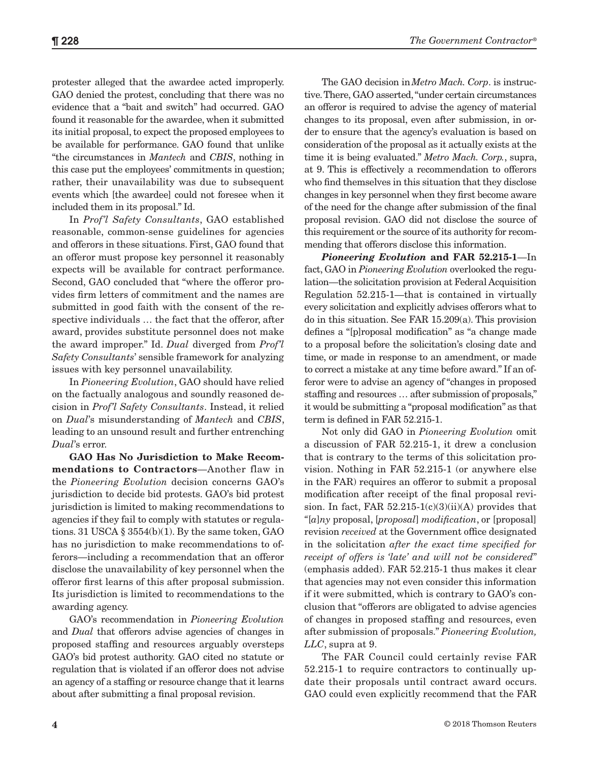protester alleged that the awardee acted improperly. GAO denied the protest, concluding that there was no evidence that a "bait and switch" had occurred. GAO found it reasonable for the awardee, when it submitted its initial proposal, to expect the proposed employees to be available for performance. GAO found that unlike "the circumstances in *Mantech* and *CBIS*, nothing in this case put the employees' commitments in question; rather, their unavailability was due to subsequent events which [the awardee] could not foresee when it included them in its proposal." Id.

In *Prof'l Safety Consultants*, GAO established reasonable, common-sense guidelines for agencies and offerors in these situations. First, GAO found that an offeror must propose key personnel it reasonably expects will be available for contract performance. Second, GAO concluded that "where the offeror provides firm letters of commitment and the names are submitted in good faith with the consent of the respective individuals … the fact that the offeror, after award, provides substitute personnel does not make the award improper." Id. *Dual* diverged from *Prof'l Safety Consultants*' sensible framework for analyzing issues with key personnel unavailability.

In *Pioneering Evolution*, GAO should have relied on the factually analogous and soundly reasoned decision in *Prof'l Safety Consultants*. Instead, it relied on *Dual*'s misunderstanding of *Mantech* and *CBIS*, leading to an unsound result and further entrenching *Dual*'s error.

**GAO Has No Jurisdiction to Make Recommendations to Contractors**—Another flaw in the *Pioneering Evolution* decision concerns GAO's jurisdiction to decide bid protests. GAO's bid protest jurisdiction is limited to making recommendations to agencies if they fail to comply with statutes or regulations. 31 USCA  $\S 3554(b)(1)$ . By the same token, GAO has no jurisdiction to make recommendations to offerors—including a recommendation that an offeror disclose the unavailability of key personnel when the offeror first learns of this after proposal submission. Its jurisdiction is limited to recommendations to the awarding agency.

GAO's recommendation in *Pioneering Evolution*  and *Dual* that offerors advise agencies of changes in proposed staffing and resources arguably oversteps GAO's bid protest authority. GAO cited no statute or regulation that is violated if an offeror does not advise an agency of a staffing or resource change that it learns about after submitting a final proposal revision.

The GAO decision in*Metro Mach. Corp*. is instructive. There, GAO asserted, "under certain circumstances an offeror is required to advise the agency of material changes to its proposal, even after submission, in order to ensure that the agency's evaluation is based on consideration of the proposal as it actually exists at the time it is being evaluated." *Metro Mach. Corp.*, supra, at 9. This is effectively a recommendation to offerors who find themselves in this situation that they disclose changes in key personnel when they first become aware of the need for the change after submission of the final proposal revision. GAO did not disclose the source of this requirement or the source of its authority for recommending that offerors disclose this information.

*Pioneering Evolution* **and FAR 52.215-1**—In fact, GAO in *Pioneering Evolution* overlooked the regulation—the solicitation provision at Federal Acquisition Regulation 52.215-1—that is contained in virtually every solicitation and explicitly advises offerors what to do in this situation. See FAR 15.209(a). This provision defines a "[p]roposal modification" as "a change made to a proposal before the solicitation's closing date and time, or made in response to an amendment, or made to correct a mistake at any time before award." If an offeror were to advise an agency of "changes in proposed staffing and resources … after submission of proposals," it would be submitting a "proposal modification" as that term is defined in FAR 52.215-1.

Not only did GAO in *Pioneering Evolution* omit a discussion of FAR 52.215-1, it drew a conclusion that is contrary to the terms of this solicitation provision. Nothing in FAR 52.215-1 (or anywhere else in the FAR) requires an offeror to submit a proposal modification after receipt of the final proposal revision. In fact, FAR  $52.215-1(c)(3)(ii)(A)$  provides that *"*[*a*]*ny* proposal, [*proposal*] *modification*, or [proposal] revision *received* at the Government office designated in the solicitation *after the exact time specified for receipt of offers is 'late' and will not be considered*" (emphasis added). FAR 52.215-1 thus makes it clear that agencies may not even consider this information if it were submitted, which is contrary to GAO's conclusion that "offerors are obligated to advise agencies of changes in proposed staffing and resources, even after submission of proposals." *Pioneering Evolution, LLC*, supra at 9.

The FAR Council could certainly revise FAR 52.215-1 to require contractors to continually update their proposals until contract award occurs. GAO could even explicitly recommend that the FAR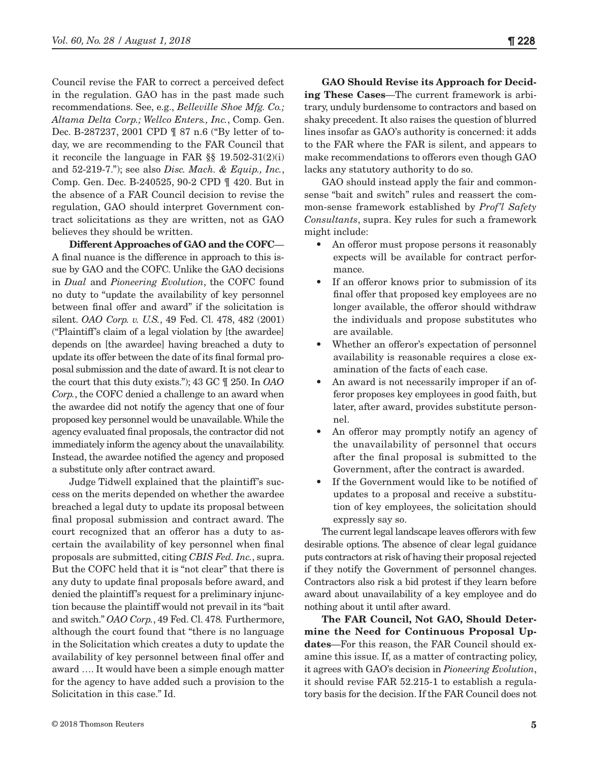Council revise the FAR to correct a perceived defect in the regulation. GAO has in the past made such recommendations. See, e.g., *Belleville Shoe Mfg. Co.; Altama Delta Corp.; Wellco Enters., Inc.*, Comp. Gen. Dec. B-287237, 2001 CPD ¶ 87 n.6 ("By letter of today, we are recommending to the FAR Council that it reconcile the language in FAR §§ 19.502-31(2)(i) and 52-219-7."); see also *Disc. Mach. & Equip., Inc.*, Comp. Gen. Dec. B-240525, 90-2 CPD ¶ 420. But in the absence of a FAR Council decision to revise the regulation, GAO should interpret Government contract solicitations as they are written, not as GAO believes they should be written.

**Different Approaches of GAO and the COFC**— A final nuance is the difference in approach to this issue by GAO and the COFC. Unlike the GAO decisions in *Dual* and *Pioneering Evolution*, the COFC found no duty to "update the availability of key personnel between final offer and award" if the solicitation is silent. *OAO Corp. v. U.S.*, 49 Fed. Cl. 478, 482 (2001) ("Plaintiff's claim of a legal violation by [the awardee] depends on [the awardee] having breached a duty to update its offer between the date of its final formal proposal submission and the date of award. It is not clear to the court that this duty exists."); 43 GC ¶ 250. In *OAO Corp.*, the COFC denied a challenge to an award when the awardee did not notify the agency that one of four proposed key personnel would be unavailable. While the agency evaluated final proposals, the contractor did not immediately inform the agency about the unavailability. Instead, the awardee notified the agency and proposed a substitute only after contract award.

Judge Tidwell explained that the plaintiff's success on the merits depended on whether the awardee breached a legal duty to update its proposal between final proposal submission and contract award. The court recognized that an offeror has a duty to ascertain the availability of key personnel when final proposals are submitted, citing *CBIS Fed. Inc.*, supra. But the COFC held that it is "not clear" that there is any duty to update final proposals before award, and denied the plaintiff's request for a preliminary injunction because the plaintiff would not prevail in its "bait and switch." *OAO Corp.*, 49 Fed. Cl. 478*.* Furthermore, although the court found that "there is no language in the Solicitation which creates a duty to update the availability of key personnel between final offer and award …. It would have been a simple enough matter for the agency to have added such a provision to the Solicitation in this case." Id.

**GAO Should Revise its Approach for Deciding These Cases**—The current framework is arbitrary, unduly burdensome to contractors and based on shaky precedent. It also raises the question of blurred lines insofar as GAO's authority is concerned: it adds to the FAR where the FAR is silent, and appears to make recommendations to offerors even though GAO lacks any statutory authority to do so.

GAO should instead apply the fair and commonsense "bait and switch" rules and reassert the common-sense framework established by *Prof'l Safety Consultants*, supra. Key rules for such a framework might include:

- An offeror must propose persons it reasonably expects will be available for contract performance.
- If an offeror knows prior to submission of its final offer that proposed key employees are no longer available, the offeror should withdraw the individuals and propose substitutes who are available.
- Whether an offeror's expectation of personnel availability is reasonable requires a close examination of the facts of each case.
- An award is not necessarily improper if an offeror proposes key employees in good faith, but later, after award, provides substitute personnel.
- An offeror may promptly notify an agency of the unavailability of personnel that occurs after the final proposal is submitted to the Government, after the contract is awarded.
- If the Government would like to be notified of updates to a proposal and receive a substitution of key employees, the solicitation should expressly say so.

The current legal landscape leaves offerors with few desirable options. The absence of clear legal guidance puts contractors at risk of having their proposal rejected if they notify the Government of personnel changes. Contractors also risk a bid protest if they learn before award about unavailability of a key employee and do nothing about it until after award.

**The FAR Council, Not GAO, Should Determine the Need for Continuous Proposal Updates**—For this reason, the FAR Council should examine this issue. If, as a matter of contracting policy, it agrees with GAO's decision in *Pioneering Evolution*, it should revise FAR 52.215-1 to establish a regulatory basis for the decision. If the FAR Council does not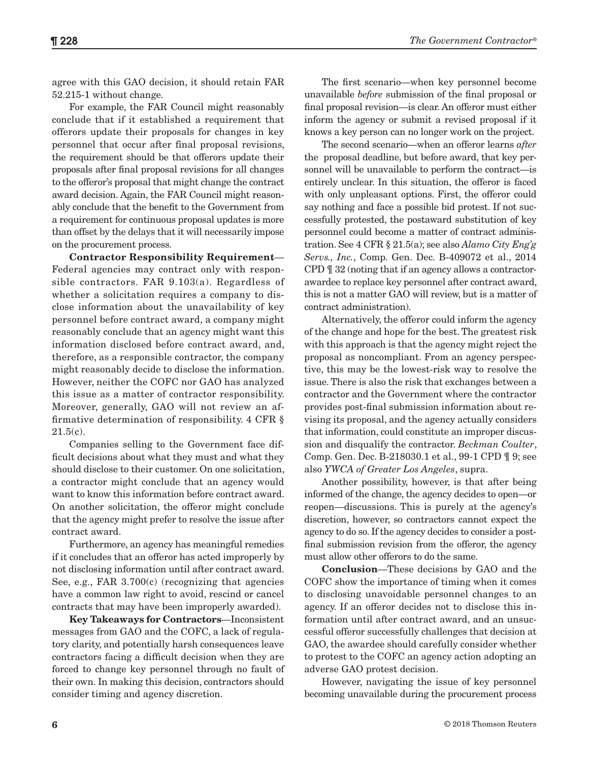agree with this GAO decision, it should retain FAR 52.215-1 without change.

For example, the FAR Council might reasonably conclude that if it established a requirement that offerors update their proposals for changes in key personnel that occur after final proposal revisions, the requirement should be that offerors update their proposals after final proposal revisions for all changes to the offeror's proposal that might change the contract award decision. Again, the FAR Council might reasonably conclude that the benefit to the Government from a requirement for continuous proposal updates is more than offset by the delays that it will necessarily impose on the procurement process.

**Contractor Responsibility Requirement**— Federal agencies may contract only with responsible contractors. FAR 9.103(a). Regardless of whether a solicitation requires a company to disclose information about the unavailability of key personnel before contract award, a company might reasonably conclude that an agency might want this information disclosed before contract award, and, therefore, as a responsible contractor, the company might reasonably decide to disclose the information. However, neither the COFC nor GAO has analyzed this issue as a matter of contractor responsibility. Moreover, generally, GAO will not review an affirmative determination of responsibility. 4 CFR §  $21.5(c)$ .

Companies selling to the Government face difficult decisions about what they must and what they should disclose to their customer. On one solicitation, a contractor might conclude that an agency would want to know this information before contract award. On another solicitation, the offeror might conclude that the agency might prefer to resolve the issue after contract award.

Furthermore, an agency has meaningful remedies if it concludes that an offeror has acted improperly by not disclosing information until after contract award. See, e.g., FAR 3.700(c) (recognizing that agencies have a common law right to avoid, rescind or cancel contracts that may have been improperly awarded).

**Key Takeaways for Contractors**—Inconsistent messages from GAO and the COFC, a lack of regulatory clarity, and potentially harsh consequences leave contractors facing a difficult decision when they are forced to change key personnel through no fault of their own. In making this decision, contractors should consider timing and agency discretion.

The first scenario—when key personnel become unavailable *before* submission of the final proposal or final proposal revision—is clear. An offeror must either inform the agency or submit a revised proposal if it knows a key person can no longer work on the project.

The second scenario—when an offeror learns *after* the proposal deadline, but before award, that key personnel will be unavailable to perform the contract—is entirely unclear. In this situation, the offeror is faced with only unpleasant options. First, the offeror could say nothing and face a possible bid protest. If not successfully protested, the postaward substitution of key personnel could become a matter of contract administration. See 4 CFR § 21.5(a); see also *Alamo City Eng'g Servs., Inc.*, Comp. Gen. Dec. B-409072 et al., 2014 CPD ¶ 32 (noting that if an agency allows a contractorawardee to replace key personnel after contract award, this is not a matter GAO will review, but is a matter of contract administration).

Alternatively, the offeror could inform the agency of the change and hope for the best. The greatest risk with this approach is that the agency might reject the proposal as noncompliant. From an agency perspective, this may be the lowest-risk way to resolve the issue. There is also the risk that exchanges between a contractor and the Government where the contractor provides post-final submission information about revising its proposal, and the agency actually considers that information, could constitute an improper discussion and disqualify the contractor. *Beckman Coulter*, Comp. Gen. Dec. B-218030.1 et al., 99-1 CPD ¶ 9; see also *YWCA of Greater Los Angeles*, supra.

Another possibility, however, is that after being informed of the change, the agency decides to open—or reopen—discussions. This is purely at the agency's discretion, however, so contractors cannot expect the agency to do so. If the agency decides to consider a postfinal submission revision from the offeror, the agency must allow other offerors to do the same.

**Conclusion**—These decisions by GAO and the COFC show the importance of timing when it comes to disclosing unavoidable personnel changes to an agency. If an offeror decides not to disclose this information until after contract award, and an unsuccessful offeror successfully challenges that decision at GAO, the awardee should carefully consider whether to protest to the COFC an agency action adopting an adverse GAO protest decision.

However, navigating the issue of key personnel becoming unavailable during the procurement process